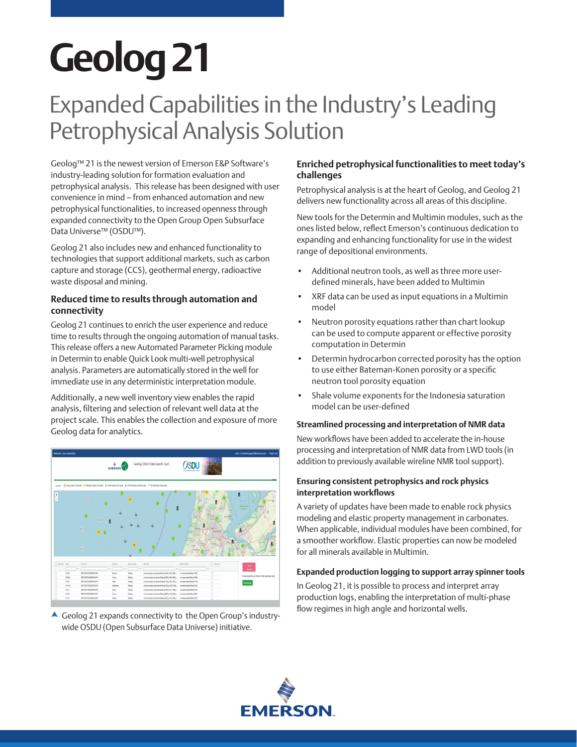# **Geolog 21**

## Expanded Capabilities in the Industry's Leading Petrophysical Analysis Solution

Geolog™ 21 is the newest version of Emerson E&P Software's industry-leading solution for formation evaluation and petrophysical analysis. This release has been designed with user convenience in mind – from enhanced automation and new petrophysical functionalities, to increased openness through expanded connectivity to the Open Group Open Subsurface Data Universe™ (OSDU™).

Geolog 21 also includes new and enhanced functionality to technologies that support additional markets, such as carbon capture and storage (CCS), geothermal energy, radioactive waste disposal and mining.

### **Reduced time to results through automation and connectivity**

Geolog 21 continues to enrich the user experience and reduce time to results through the ongoing automation of manual tasks. This release offers a new Automated Parameter Picking module in Determin to enable Quick Look multi-well petrophysical analysis. Parameters are automatically stored in the well for immediate use in any deterministic interpretation module.

Additionally, a new well inventory view enables the rapid analysis, filtering and selection of relevant well data at the project scale. This enables the collection and exposure of more Geolog data for analytics.



flow regimes in high angle and horizontal wells. Geolog 21 expands connectivity to the Open Group's industrywide OSDU (Open Subsurface Data Universe) initiative.

### **Enriched petrophysical functionalities to meet today's challenges**

Petrophysical analysis is at the heart of Geolog, and Geolog 21 delivers new functionality across all areas of this discipline.

New tools for the Determin and Multimin modules, such as the ones listed below, reflect Emerson's continuous dedication to expanding and enhancing functionality for use in the widest range of depositional environments.

- Additional neutron tools, as well as three more userdefined minerals, have been added to Multimin
- XRF data can be used as input equations in a Multimin model
- Neutron porosity equations rather than chart lookup can be used to compute apparent or effective porosity computation in Determin
- Determin hydrocarbon corrected porosity has the option to use either Bateman-Konen porosity or a specific neutron tool porosity equation
- Shale volume exponents for the Indonesia saturation model can be user-defined

### **Streamlined processing and interpretation of NMR data**

New workflows have been added to accelerate the in-house processing and interpretation of NMR data from LWD tools (in addition to previously available wireline NMR tool support).

### **Ensuring consistent petrophysics and rock physics interpretation workflows**

A variety of updates have been made to enable rock physics modeling and elastic property management in carbonates. When applicable, individual modules have been combined, for a smoother workflow. Elastic properties can now be modeled for all minerals available in Multimin.

### **Expanded production logging to support array spinner tools**

In Geolog 21, it is possible to process and interpret array production logs, enabling the interpretation of multi-phase